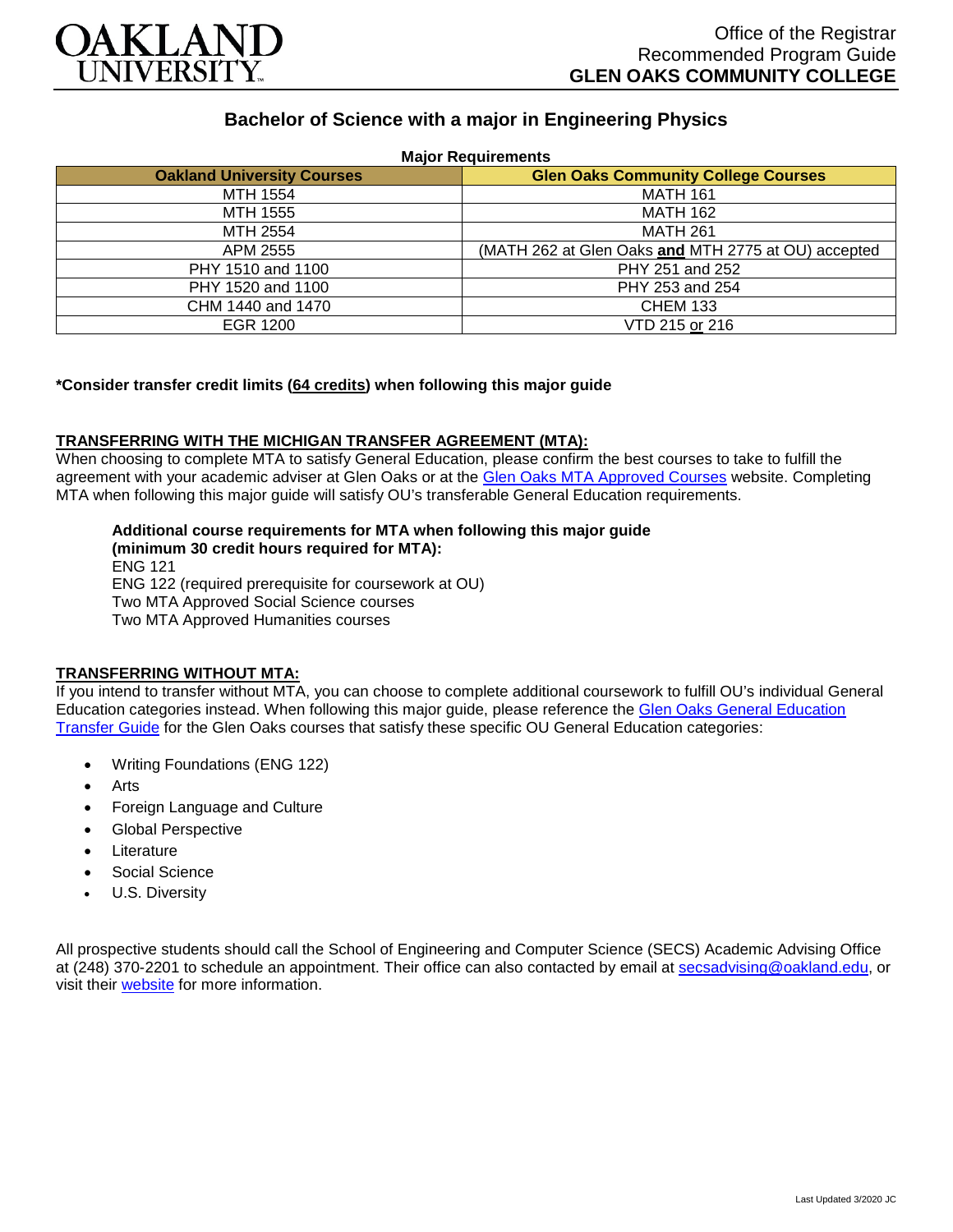

# **Bachelor of Science with a major in Engineering Physics**

| <b>Major Requirements</b>         |                                                     |
|-----------------------------------|-----------------------------------------------------|
| <b>Oakland University Courses</b> | <b>Glen Oaks Community College Courses</b>          |
| MTH 1554                          | <b>MATH 161</b>                                     |
| MTH 1555                          | <b>MATH 162</b>                                     |
| MTH 2554                          | <b>MATH 261</b>                                     |
| APM 2555                          | (MATH 262 at Glen Oaks and MTH 2775 at OU) accepted |
| PHY 1510 and 1100                 | PHY 251 and 252                                     |
| PHY 1520 and 1100                 | PHY 253 and 254                                     |
| CHM 1440 and 1470                 | <b>CHEM 133</b>                                     |
| EGR 1200                          | VTD 215 or 216                                      |

## **\*Consider transfer credit limits (64 credits) when following this major guide**

## **TRANSFERRING WITH THE MICHIGAN TRANSFER AGREEMENT (MTA):**

When choosing to complete MTA to satisfy General Education, please confirm the best courses to take to fulfill the agreement with your academic adviser at Glen Oaks or at the [Glen Oaks MTA Approved Courses](https://www.glenoaks.edu/current-students/registration-records/#MTA) website. Completing MTA when following this major guide will satisfy OU's transferable General Education requirements.

#### **Additional course requirements for MTA when following this major guide (minimum 30 credit hours required for MTA):**

ENG 121 ENG 122 (required prerequisite for coursework at OU) Two MTA Approved Social Science courses Two MTA Approved Humanities courses

# **TRANSFERRING WITHOUT MTA:**

If you intend to transfer without MTA, you can choose to complete additional coursework to fulfill OU's individual General Education categories instead. When following this major guide, please reference the [Glen Oaks General Education](https://www.oakland.edu/Assets/Oakland/program-guides/glen-oaks-community-college/university-general-education-requirements/Glen%20Oaks%20Gen%20Ed.pdf)  [Transfer Guide](https://www.oakland.edu/Assets/Oakland/program-guides/glen-oaks-community-college/university-general-education-requirements/Glen%20Oaks%20Gen%20Ed.pdf) for the Glen Oaks courses that satisfy these specific OU General Education categories:

- Writing Foundations (ENG 122)
- **Arts**
- Foreign Language and Culture
- Global Perspective
- **Literature**
- Social Science
- U.S. Diversity

All prospective students should call the School of Engineering and Computer Science (SECS) Academic Advising Office at (248) 370-2201 to schedule an appointment. Their office can also contacted by email at [secsadvising@oakland.edu,](mailto:secsadvising@oakland.edu) or visit their [website](https://wwwp.oakland.edu/secs/advising/) for more information.